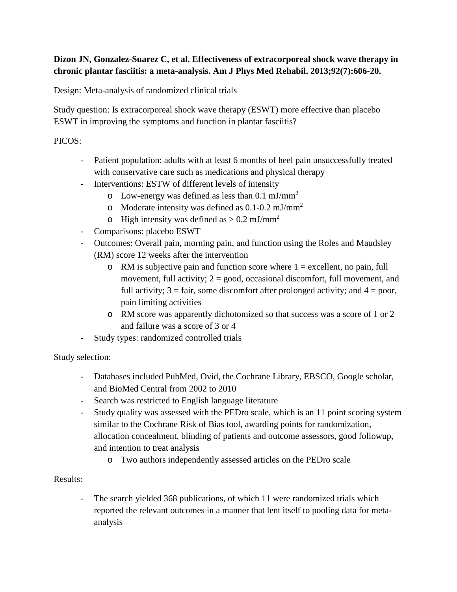## **Dizon JN, Gonzalez-Suarez C, et al. Effectiveness of extracorporeal shock wave therapy in chronic plantar fasciitis: a meta-analysis. Am J Phys Med Rehabil. 2013;92(7):606-20.**

Design: Meta-analysis of randomized clinical trials

Study question: Is extracorporeal shock wave therapy (ESWT) more effective than placebo ESWT in improving the symptoms and function in plantar fasciitis?

## PICOS:

- Patient population: adults with at least 6 months of heel pain unsuccessfully treated with conservative care such as medications and physical therapy
- Interventions: ESTW of different levels of intensity
	- $\circ$  Low-energy was defined as less than 0.1 mJ/mm<sup>2</sup>
	- o Moderate intensity was defined as  $0.1$ - $0.2$  mJ/mm<sup>2</sup>
	- o High intensity was defined as  $> 0.2$  mJ/mm<sup>2</sup>
- Comparisons: placebo ESWT
- Outcomes: Overall pain, morning pain, and function using the Roles and Maudsley (RM) score 12 weeks after the intervention
	- $\circ$  RM is subjective pain and function score where  $1 =$  excellent, no pain, full movement, full activity;  $2 = \text{good}$ , occasional discomfort, full movement, and full activity;  $3 = \text{fair}$ , some discomfort after prolonged activity; and  $4 = \text{poor}$ , pain limiting activities
	- o RM score was apparently dichotomized so that success was a score of 1 or 2 and failure was a score of 3 or 4
- Study types: randomized controlled trials

Study selection:

- Databases included PubMed, Ovid, the Cochrane Library, EBSCO, Google scholar, and BioMed Central from 2002 to 2010
- Search was restricted to English language literature
- Study quality was assessed with the PEDro scale, which is an 11 point scoring system similar to the Cochrane Risk of Bias tool, awarding points for randomization, allocation concealment, blinding of patients and outcome assessors, good followup, and intention to treat analysis
	- o Two authors independently assessed articles on the PEDro scale

## Results:

- The search yielded 368 publications, of which 11 were randomized trials which reported the relevant outcomes in a manner that lent itself to pooling data for metaanalysis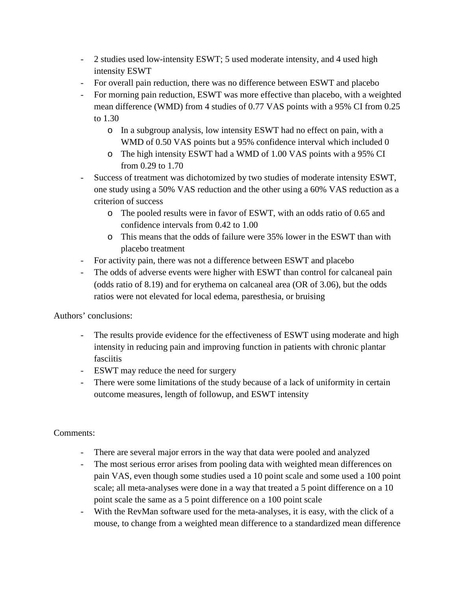- 2 studies used low-intensity ESWT; 5 used moderate intensity, and 4 used high intensity ESWT
- For overall pain reduction, there was no difference between ESWT and placebo
- For morning pain reduction, ESWT was more effective than placebo, with a weighted mean difference (WMD) from 4 studies of 0.77 VAS points with a 95% CI from 0.25 to 1.30
	- o In a subgroup analysis, low intensity ESWT had no effect on pain, with a WMD of 0.50 VAS points but a 95% confidence interval which included 0
	- o The high intensity ESWT had a WMD of 1.00 VAS points with a 95% CI from 0.29 to 1.70
- Success of treatment was dichotomized by two studies of moderate intensity ESWT, one study using a 50% VAS reduction and the other using a 60% VAS reduction as a criterion of success
	- o The pooled results were in favor of ESWT, with an odds ratio of 0.65 and confidence intervals from 0.42 to 1.00
	- o This means that the odds of failure were 35% lower in the ESWT than with placebo treatment
- For activity pain, there was not a difference between ESWT and placebo
- The odds of adverse events were higher with ESWT than control for calcaneal pain (odds ratio of 8.19) and for erythema on calcaneal area (OR of 3.06), but the odds ratios were not elevated for local edema, paresthesia, or bruising

Authors' conclusions:

- The results provide evidence for the effectiveness of ESWT using moderate and high intensity in reducing pain and improving function in patients with chronic plantar fasciitis
- ESWT may reduce the need for surgery
- There were some limitations of the study because of a lack of uniformity in certain outcome measures, length of followup, and ESWT intensity

## Comments:

- There are several major errors in the way that data were pooled and analyzed
- The most serious error arises from pooling data with weighted mean differences on pain VAS, even though some studies used a 10 point scale and some used a 100 point scale; all meta-analyses were done in a way that treated a 5 point difference on a 10 point scale the same as a 5 point difference on a 100 point scale
- With the RevMan software used for the meta-analyses, it is easy, with the click of a mouse, to change from a weighted mean difference to a standardized mean difference